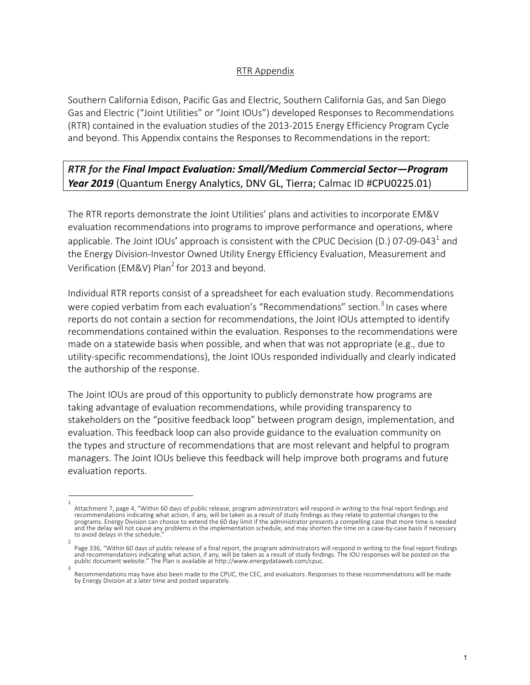## RTR Appendix

Southern California Edison, Pacific Gas and Electric, Southern California Gas, and San Diego Gas and Electric ("Joint Utilities" or "Joint IOUs") developed Responses to Recommendations (RTR) contained in the evaluation studies of the 2013-2015 Energy Efficiency Program Cycle and beyond. This Appendix contains the Responses to Recommendations in the report:

## *RTR for the Final Impact Evaluation: Small/Medium Commercial Sector—Program Year 2019* (Quantum Energy Analytics, DNV GL, Tierra; Calmac ID #CPU0225.01)

The RTR reports demonstrate the Joint Utilities' plans and activities to incorporate EM&V evaluation recommendations into programs to improve performance and operations, where applicable. The Joint IOUs' approach is consistent with the CPUC Decision (D.) 07-09-043<sup>1</sup> and the Energy Division-Investor Owned Utility Energy Efficiency Evaluation, Measurement and Verification (EM&V) Plan<sup>2</sup> for 2013 and beyond.

Individual RTR reports consist of a spreadsheet for each evaluation study. Recommendations were copied verbatim from each evaluation's "Recommendations" section.<sup>3</sup> In cases where reports do not contain a section for recommendations, the Joint IOUs attempted to identify recommendations contained within the evaluation. Responses to the recommendations were made on a statewide basis when possible, and when that was not appropriate (e.g., due to utility-specific recommendations), the Joint IOUs responded individually and clearly indicated the authorship of the response.

The Joint IOUs are proud of this opportunity to publicly demonstrate how programs are taking advantage of evaluation recommendations, while providing transparency to stakeholders on the "positive feedback loop" between program design, implementation, and evaluation. This feedback loop can also provide guidance to the evaluation community on the types and structure of recommendations that are most relevant and helpful to program managers. The Joint IOUs believe this feedback will help improve both programs and future evaluation reports.

<sup>1</sup>  Attachment 7, page 4, "Within 60 days of public release, program administrators will respond in writing to the final report findings and recommendations indicating what action, if any, will be taken as a result of study findings as they relate to potential changes to the programs. Energy Division can choose to extend the 60 day limit if the administrator presents a compelling case that more time is needed and the delay will not cause any problems in the implementation schedule, and may shorten the time on a case-by-case basis if necessary to avoid delays in the schedule.

<sup>2</sup>  Page 336, "Within 60 days of public release of a final report, the program administrators will respond in writing to the final report findings and recommendations indicating what action, if any, will be taken as a result of study findings. The IOU responses will be posted on the<br>public document website." The Plan is available at http://www.energydataweb.com/cpuc.

Recommendations may have also been made to the CPUC, the CEC, and evaluators. Responses to these recommendations will be made by Energy Division at a later time and posted separately.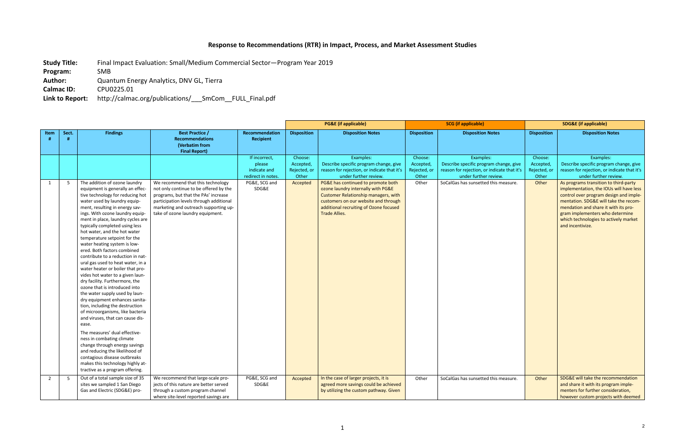## **Response to Recommendations (RTR) in Impact, Process, and Market Assessment Studies**

**Study Title:** Final Impact Evaluation: Small/Medium Commercial Sector—Program Year 2019 **Program:** SMB **Author:** Quantum Energy Analytics, DNV GL, Tierra **Calmac ID:** CPU0225.01 **Link to Report:** http://calmac.org/publications/\_\_\_SmCom\_\_FULL\_Final.pdf

|                |       |                                                                                                                                                                                                                                                                                                                                                                                                                                                                                                                                                                                                                                                                                                                                                                                                                                                                                                                                                                                                                                                                       |                                                                                                                                                                                                                                             |                                                               |                                               | <b>PG&amp;E</b> (if applicable)                                                                                                                                                                                            | <b>SCG</b> (if applicable)                    |                                                                                                                             | <b>SDG&amp;E</b> (if applicable)              |                                                                                                                                                                                                                                                                                                             |
|----------------|-------|-----------------------------------------------------------------------------------------------------------------------------------------------------------------------------------------------------------------------------------------------------------------------------------------------------------------------------------------------------------------------------------------------------------------------------------------------------------------------------------------------------------------------------------------------------------------------------------------------------------------------------------------------------------------------------------------------------------------------------------------------------------------------------------------------------------------------------------------------------------------------------------------------------------------------------------------------------------------------------------------------------------------------------------------------------------------------|---------------------------------------------------------------------------------------------------------------------------------------------------------------------------------------------------------------------------------------------|---------------------------------------------------------------|-----------------------------------------------|----------------------------------------------------------------------------------------------------------------------------------------------------------------------------------------------------------------------------|-----------------------------------------------|-----------------------------------------------------------------------------------------------------------------------------|-----------------------------------------------|-------------------------------------------------------------------------------------------------------------------------------------------------------------------------------------------------------------------------------------------------------------------------------------------------------------|
| Item           | Sect. | <b>Findings</b>                                                                                                                                                                                                                                                                                                                                                                                                                                                                                                                                                                                                                                                                                                                                                                                                                                                                                                                                                                                                                                                       | <b>Best Practice /</b><br><b>Recommendations</b><br>(Verbatim from<br><b>Final Report)</b>                                                                                                                                                  | <b>Recommendation</b><br>Recipient                            | <b>Disposition</b>                            | <b>Disposition Notes</b>                                                                                                                                                                                                   | <b>Disposition</b>                            | <b>Disposition Notes</b>                                                                                                    | <b>Disposition</b>                            | <b>Disposition Notes</b>                                                                                                                                                                                                                                                                                    |
|                |       |                                                                                                                                                                                                                                                                                                                                                                                                                                                                                                                                                                                                                                                                                                                                                                                                                                                                                                                                                                                                                                                                       |                                                                                                                                                                                                                                             | If incorrect,<br>please<br>indicate and<br>redirect in notes. | Choose:<br>Accepted,<br>Rejected, or<br>Other | Examples:<br>Describe specific program change, give<br>reason for rejection, or indicate that it's<br>under further review.                                                                                                | Choose:<br>Accepted,<br>Rejected, or<br>Other | Examples:<br>Describe specific program change, give<br>reason for rejection, or indicate that it's<br>under further review. | Choose:<br>Accepted,<br>Rejected, or<br>Other | Examples:<br>Describe specific program change, give<br>reason for rejection, or indicate that it's<br>under further review.                                                                                                                                                                                 |
| 1              | - 5   | The addition of ozone laundry<br>equipment is generally an effec-<br>tive technology for reducing hot<br>water used by laundry equip-<br>ment, resulting in energy sav-<br>ings. With ozone laundry equip-<br>ment in place, laundry cycles are<br>typically completed using less<br>hot water, and the hot water<br>temperature setpoint for the<br>water heating system is low-<br>ered. Both factors combined<br>contribute to a reduction in nat-<br>ural gas used to heat water, in a<br>water heater or boiler that pro-<br>vides hot water to a given laun-<br>dry facility. Furthermore, the<br>ozone that is introduced into<br>the water supply used by laun-<br>dry equipment enhances sanita-<br>tion, including the destruction<br>of microorganisms, like bacteria<br>and viruses, that can cause dis-<br>ease.<br>The measures' dual effective-<br>ness in combating climate<br>change through energy savings<br>and reducing the likelihood of<br>contagious disease outbreaks<br>makes this technology highly at-<br>tractive as a program offering. | We recommend that this technology<br>not only continue to be offered by the<br>programs, but that the PAs' increase<br>participation levels through additional<br>marketing and outreach supporting up-<br>take of ozone laundry equipment. | PG&E, SCG and<br>SDG&E                                        | Accepted                                      | PG&E has continued to promote both<br>ozone laundry internally with PG&E<br>Customer Relationship managers, with<br>customers on our website and through<br>additional recruiting of Ozone focused<br><b>Trade Allies.</b> | Other                                         | SoCalGas has sunsetted this measure.                                                                                        | Other                                         | As programs transition to third-party<br>implementation, the IOUs will have less<br>control over program design and imple-<br>mentation. SDG&E will take the recom-<br>mendation and share it with its pro-<br>gram implementers who determine<br>which technologies to actively market<br>and incentivize. |
| $\overline{2}$ | - 5   | Out of a total sample size of 35<br>sites we sampled 1 San Diego<br>Gas and Electric (SDG&E) pro-                                                                                                                                                                                                                                                                                                                                                                                                                                                                                                                                                                                                                                                                                                                                                                                                                                                                                                                                                                     | We recommend that large-scale pro-<br>jects of this nature are better served<br>through a custom program channel<br>where site-level reported savings are                                                                                   | PG&E, SCG and<br>SDG&E                                        | Accepted                                      | In the case of larger projects, it is<br>agreed more savings could be achieved<br>by utilizing the custom pathway. Given                                                                                                   | Other                                         | SoCalGas has sunsetted this measure.                                                                                        | Other                                         | SDG&E will take the recommendation<br>and share it with its program imple-<br>menters for further consideration,<br>however custom projects with deemed                                                                                                                                                     |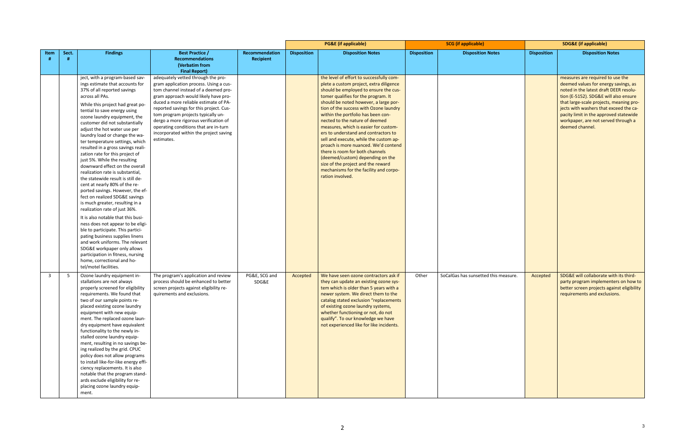|              |       |                                                                                                                                                                                                                                                                                                                                                                                                                                                                                                                                                                                                                                                                                                                                                                                                                                                                                                                                                                                                                                                                                 |                                                                                                                                                                                                                                                                                                                                                                                                                                  |                                           |                    | <b>PG&amp;E</b> (if applicable)                                                                                                                                                                                                                                                                                                                                                                                                                                                                                                                                                                                                                                              |                    | <b>SCG</b> (if applicable)           |                    | <b>SDG&amp;E</b> (if applicable)                                                                                                                                                                                                                                                                                                                     |
|--------------|-------|---------------------------------------------------------------------------------------------------------------------------------------------------------------------------------------------------------------------------------------------------------------------------------------------------------------------------------------------------------------------------------------------------------------------------------------------------------------------------------------------------------------------------------------------------------------------------------------------------------------------------------------------------------------------------------------------------------------------------------------------------------------------------------------------------------------------------------------------------------------------------------------------------------------------------------------------------------------------------------------------------------------------------------------------------------------------------------|----------------------------------------------------------------------------------------------------------------------------------------------------------------------------------------------------------------------------------------------------------------------------------------------------------------------------------------------------------------------------------------------------------------------------------|-------------------------------------------|--------------------|------------------------------------------------------------------------------------------------------------------------------------------------------------------------------------------------------------------------------------------------------------------------------------------------------------------------------------------------------------------------------------------------------------------------------------------------------------------------------------------------------------------------------------------------------------------------------------------------------------------------------------------------------------------------------|--------------------|--------------------------------------|--------------------|------------------------------------------------------------------------------------------------------------------------------------------------------------------------------------------------------------------------------------------------------------------------------------------------------------------------------------------------------|
| Item         | Sect. | <b>Findings</b>                                                                                                                                                                                                                                                                                                                                                                                                                                                                                                                                                                                                                                                                                                                                                                                                                                                                                                                                                                                                                                                                 | <b>Best Practice /</b><br><b>Recommendations</b><br>(Verbatim from<br><b>Final Report)</b>                                                                                                                                                                                                                                                                                                                                       | <b>Recommendation</b><br><b>Recipient</b> | <b>Disposition</b> | <b>Disposition Notes</b>                                                                                                                                                                                                                                                                                                                                                                                                                                                                                                                                                                                                                                                     | <b>Disposition</b> | <b>Disposition Notes</b>             | <b>Disposition</b> | <b>Disposition Notes</b>                                                                                                                                                                                                                                                                                                                             |
|              |       | ject, with a program-based sav-<br>ings estimate that accounts for<br>37% of all reported savings<br>across all PAs.<br>While this project had great po-<br>tential to save energy using<br>ozone laundry equipment, the<br>customer did not substantially<br>adjust the hot water use per<br>laundry load or change the wa-<br>ter temperature settings, which<br>resulted in a gross savings reali-<br>zation rate for this project of<br>just 5%. While the resulting<br>downward effect on the overall<br>realization rate is substantial,<br>the statewide result is still de-<br>cent at nearly 80% of the re-<br>ported savings. However, the ef-<br>fect on realized SDG&E savings<br>is much greater, resulting in a<br>realization rate of just 36%.<br>It is also notable that this busi-<br>ness does not appear to be eligi-<br>ble to participate. This partici-<br>pating business supplies linens<br>and work uniforms. The relevant<br>SDG&E workpaper only allows<br>participation in fitness, nursing<br>home, correctional and ho-<br>tel/motel facilities. | adequately vetted through the pro-<br>gram application process. Using a cus-<br>tom channel instead of a deemed pro-<br>gram approach would likely have pro-<br>duced a more reliable estimate of PA-<br>reported savings for this project. Cus-<br>tom program projects typically un-<br>dergo a more rigorous verification of<br>operating conditions that are in-turn<br>incorporated within the project saving<br>estimates. |                                           |                    | the level of effort to successfully com-<br>plete a custom project, extra diligence<br>should be employed to ensure the cus-<br>tomer qualifies for the program. It<br>should be noted however, a large por-<br>tion of the success with Ozone laundry<br>within the portfolio has been con-<br>nected to the nature of deemed<br>measures, which is easier for custom-<br>ers to understand and contractors to<br>sell and execute, while the custom ap-<br>proach is more nuanced. We'd contend<br>there is room for both channels<br>(deemed/custom) depending on the<br>size of the project and the reward<br>mechanisms for the facility and corpo-<br>ration involved. |                    |                                      |                    | measures are required to use the<br>deemed values for energy savings, as<br>noted in the latest draft DEER resolu-<br>tion (E-5152). SDG&E will also ensure<br>that large-scale projects, meaning pro-<br>jects with washers that exceed the ca-<br>pacity limit in the approved statewide<br>workpaper, are not served through a<br>deemed channel. |
| $\mathbf{3}$ | - 5   | Ozone laundry equipment in-<br>stallations are not always<br>properly screened for eligibility<br>requirements. We found that<br>two of our sample points re-<br>placed existing ozone laundry<br>equipment with new equip-<br>ment. The replaced ozone laun-<br>dry equipment have equivalent<br>functionality to the newly in-<br>stalled ozone laundry equip-<br>ment, resulting in no savings be-<br>ing realized by the grid. CPUC<br>policy does not allow programs<br>to install like-for-like energy effi-<br>ciency replacements. It is also<br>notable that the program stand-<br>ards exclude eligibility for re-<br>placing ozone laundry equip-<br>ment.                                                                                                                                                                                                                                                                                                                                                                                                           | The program's application and review<br>process should be enhanced to better<br>screen projects against eligibility re-<br>quirements and exclusions.                                                                                                                                                                                                                                                                            | PG&E, SCG and<br>SDG&E                    | Accepted           | We have seen ozone contractors ask if<br>they can update an existing ozone sys-<br>tem which is older than 5 years with a<br>newer system. We direct them to the<br>catalog stated exclusion "replacements<br>of existing ozone laundry systems,<br>whether functioning or not, do not<br>qualify". To our knowledge we have<br>not experienced like for like incidents.                                                                                                                                                                                                                                                                                                     | Other              | SoCalGas has sunsetted this measure. | Accepted           | SDG&E will collaborate with its third-<br>party program implementers on how to<br>better screen projects against eligibility<br>requirements and exclusions.                                                                                                                                                                                         |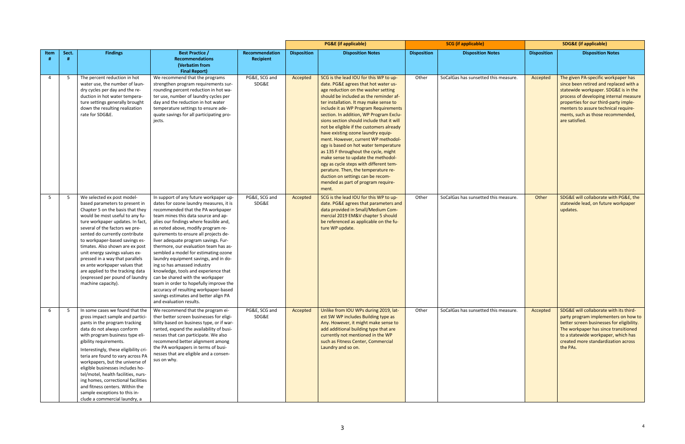|                |       |                                                                                                                                                                                                                                                                                                                                                                                                                                                                                                                                        |                                                                                                                                                                                                                                                                                                                                                                                                                                                                                                                                                                                                                                                                                                                            |                                    |                    | <b>PG&amp;E</b> (if applicable)                                                                                                                                                                                                                                                                                                                                                                                                                                                                                                                                                                                                                                                                                                                                 | <b>SCG</b> (if applicable) |                                      | <b>SDG&amp;E</b> (if applicable) |                                                                                                                                                                                                                                                                                                         |
|----------------|-------|----------------------------------------------------------------------------------------------------------------------------------------------------------------------------------------------------------------------------------------------------------------------------------------------------------------------------------------------------------------------------------------------------------------------------------------------------------------------------------------------------------------------------------------|----------------------------------------------------------------------------------------------------------------------------------------------------------------------------------------------------------------------------------------------------------------------------------------------------------------------------------------------------------------------------------------------------------------------------------------------------------------------------------------------------------------------------------------------------------------------------------------------------------------------------------------------------------------------------------------------------------------------------|------------------------------------|--------------------|-----------------------------------------------------------------------------------------------------------------------------------------------------------------------------------------------------------------------------------------------------------------------------------------------------------------------------------------------------------------------------------------------------------------------------------------------------------------------------------------------------------------------------------------------------------------------------------------------------------------------------------------------------------------------------------------------------------------------------------------------------------------|----------------------------|--------------------------------------|----------------------------------|---------------------------------------------------------------------------------------------------------------------------------------------------------------------------------------------------------------------------------------------------------------------------------------------------------|
| Item           | Sect. | <b>Findings</b>                                                                                                                                                                                                                                                                                                                                                                                                                                                                                                                        | <b>Best Practice /</b><br><b>Recommendations</b><br>(Verbatim from<br><b>Final Report)</b>                                                                                                                                                                                                                                                                                                                                                                                                                                                                                                                                                                                                                                 | Recommendation<br><b>Recipient</b> | <b>Disposition</b> | <b>Disposition Notes</b>                                                                                                                                                                                                                                                                                                                                                                                                                                                                                                                                                                                                                                                                                                                                        | <b>Disposition</b>         | <b>Disposition Notes</b>             | <b>Disposition</b>               | <b>Disposition Notes</b>                                                                                                                                                                                                                                                                                |
| $\overline{4}$ | 5     | The percent reduction in hot<br>water use, the number of laun-<br>dry cycles per day and the re-<br>duction in hot water tempera-<br>ture settings generally brought<br>down the resulting realization<br>rate for SDG&E.                                                                                                                                                                                                                                                                                                              | We recommend that the programs<br>strengthen program requirements sur-<br>rounding percent reduction in hot wa-<br>ter use, number of laundry cycles per<br>day and the reduction in hot water<br>temperature settings to ensure ade-<br>quate savings for all participating pro-<br>jects.                                                                                                                                                                                                                                                                                                                                                                                                                                | PG&E, SCG and<br>SDG&E             | Accepted           | SCG is the lead IOU for this WP to up-<br>date. PG&E agrees that hot water us-<br>age reduction on the washer setting<br>should be included as the reminder af-<br>ter installation. It may make sense to<br>include it as WP Program Requirements<br>section. In addition, WP Program Exclu-<br>sions section should include that it will<br>not be eligible if the customers already<br>have existing ozone laundry equip-<br>ment. However, current WP methodol-<br>ogy is based on hot water temperature<br>as 135 F throughout the cycle, might<br>make sense to update the methodol-<br>ogy as cycle steps with different tem-<br>perature. Then, the temperature re-<br>duction on settings can be recom-<br>mended as part of program require-<br>ment. | Other                      | SoCalGas has sunsetted this measure. | Accepted                         | The given PA-specific workpaper has<br>since been retired and replaced with a<br>statewide workpaper. SDG&E is in the<br>process of developing internal measure<br>properties for our third-party imple-<br>menters to assure technical require-<br>ments, such as those recommended,<br>are satisfied. |
| 5              | 5     | We selected ex post model-<br>based parameters to present in<br>Chapter 5 on the basis that they<br>would be most useful to any fu-<br>ture workpaper updates. In fact,<br>several of the factors we pre-<br>sented do currently contribute<br>to workpaper-based savings es-<br>timates. Also shown are ex post<br>unit energy savings values ex-<br>pressed in a way that parallels<br>ex ante workpaper values that<br>are applied to the tracking data<br>(expressed per pound of laundry<br>machine capacity).                    | In support of any future workpaper up-<br>dates for ozone laundry measures, it is<br>recommended that the PA workpaper<br>team mines this data source and ap-<br>plies our findings where feasible and,<br>as noted above, modify program re-<br>quirements to ensure all projects de-<br>liver adequate program savings. Fur-<br>thermore, our evaluation team has as-<br>sembled a model for estimating ozone<br>laundry equipment savings, and in do-<br>ing so has amassed industry<br>knowledge, tools and experience that<br>can be shared with the workpaper<br>team in order to hopefully improve the<br>accuracy of resulting workpaper-based<br>savings estimates and better align PA<br>and evaluation results. | PG&E, SCG and<br>SDG&E             | Accepted           | SCG is the lead IOU for this WP to up-<br>date. PG&E agrees that parameters and<br>data provided in Small/Medium Com-<br>mercial 2019 EM&V chapter 5 should<br>be referenced as applicable on the fu-<br>ture WP update.                                                                                                                                                                                                                                                                                                                                                                                                                                                                                                                                        | Other                      | SoCalGas has sunsetted this measure. | Other                            | SDG&E will collaborate with PG&E, the<br>statewide lead, on future workpaper<br>updates.                                                                                                                                                                                                                |
| 6              | -5    | In some cases we found that the<br>gross impact sample and partici-<br>pants in the program tracking<br>data do not always conform<br>with program business type eli-<br>gibility requirements.<br>Interestingly, these eligibility cri-<br>teria are found to vary across PA<br>workpapers, but the universe of<br>eligible businesses includes ho-<br>tel/motel, health facilities, nurs-<br>ing homes, correctional facilities<br>and fitness centers. Within the<br>sample exceptions to this in-<br>clude a commercial laundry, a | We recommend that the program ei-<br>ther better screen businesses for eligi-<br>bility based on business type, or if war-<br>ranted, expand the availability of busi-<br>nesses that can participate. We also<br>recommend better alignment among<br>the PA workpapers in terms of busi-<br>nesses that are eligible and a consen-<br>sus on why.                                                                                                                                                                                                                                                                                                                                                                         | PG&E, SCG and<br>SDG&E             | Accepted           | Unlike from IOU WPs during 2019, lat-<br>est SW WP includes Building type as<br>Any. However, it might make sense to<br>add additional building type that are<br>currently not mentioned in the WP<br>such as Fitness Center, Commercial<br>Laundry and so on.                                                                                                                                                                                                                                                                                                                                                                                                                                                                                                  | Other                      | SoCalGas has sunsetted this measure. | Accepted                         | SDG&E will collaborate with its third-<br>party program implementers on how to<br>better screen businesses for eligibility.<br>The workpaper has since transitioned<br>to a statewide workpaper, which has<br>created more standardization across<br>the PAs.                                           |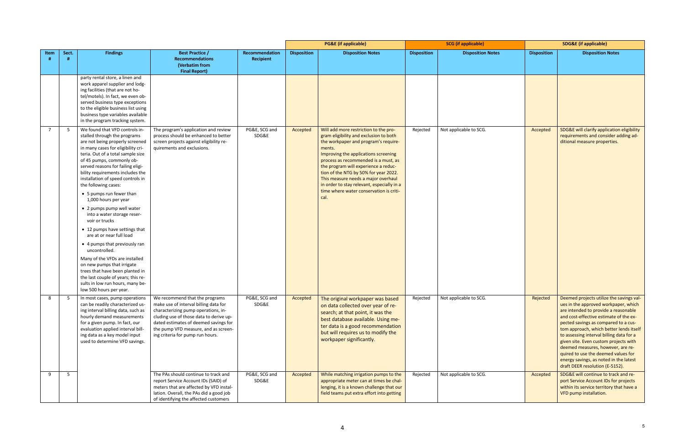|                |       |                                                                                                                                                                                                                                                                                                                                                                                                                                                                                                                                                                                                                                                                                                                                                                                                          |                                                                                                                                                                                                                                                                                |                             |                    | <b>PG&amp;E</b> (if applicable)                                                                                                                                                                                                                                                                                                                                                                                                            |                    | <b>SCG</b> (if applicable) |                    | <b>SDG&amp;E</b> (if applicable)                                                                                                                                                                                                                                                                                                                                                                                                                                                                    |
|----------------|-------|----------------------------------------------------------------------------------------------------------------------------------------------------------------------------------------------------------------------------------------------------------------------------------------------------------------------------------------------------------------------------------------------------------------------------------------------------------------------------------------------------------------------------------------------------------------------------------------------------------------------------------------------------------------------------------------------------------------------------------------------------------------------------------------------------------|--------------------------------------------------------------------------------------------------------------------------------------------------------------------------------------------------------------------------------------------------------------------------------|-----------------------------|--------------------|--------------------------------------------------------------------------------------------------------------------------------------------------------------------------------------------------------------------------------------------------------------------------------------------------------------------------------------------------------------------------------------------------------------------------------------------|--------------------|----------------------------|--------------------|-----------------------------------------------------------------------------------------------------------------------------------------------------------------------------------------------------------------------------------------------------------------------------------------------------------------------------------------------------------------------------------------------------------------------------------------------------------------------------------------------------|
| Item           | Sect. | <b>Findings</b>                                                                                                                                                                                                                                                                                                                                                                                                                                                                                                                                                                                                                                                                                                                                                                                          | <b>Best Practice /</b><br><b>Recommendations</b><br>(Verbatim from<br><b>Final Report)</b>                                                                                                                                                                                     | Recommendation<br>Recipient | <b>Disposition</b> | <b>Disposition Notes</b>                                                                                                                                                                                                                                                                                                                                                                                                                   | <b>Disposition</b> | <b>Disposition Notes</b>   | <b>Disposition</b> | <b>Disposition Notes</b>                                                                                                                                                                                                                                                                                                                                                                                                                                                                            |
|                |       | party rental store, a linen and<br>work apparel supplier and lodg-<br>ing facilities (that are not ho-<br>tel/motels). In fact, we even ob-<br>served business type exceptions<br>to the eligible business list using<br>business type variables available<br>in the program tracking system.                                                                                                                                                                                                                                                                                                                                                                                                                                                                                                            |                                                                                                                                                                                                                                                                                |                             |                    |                                                                                                                                                                                                                                                                                                                                                                                                                                            |                    |                            |                    |                                                                                                                                                                                                                                                                                                                                                                                                                                                                                                     |
| $\overline{7}$ | - 5   | We found that VFD controls in-<br>stalled through the programs<br>are not being properly screened<br>in many cases for eligibility cri-<br>teria. Out of a total sample size<br>of 45 pumps, commonly ob-<br>served reasons for failing eligi-<br>bility requirements includes the<br>installation of speed controls in<br>the following cases:<br>• 5 pumps run fewer than<br>1,000 hours per year<br>• 2 pumps pump well water<br>into a water storage reser-<br>voir or trucks<br>• 12 pumps have settings that<br>are at or near full load<br>• 4 pumps that previously ran<br>uncontrolled.<br>Many of the VFDs are installed<br>on new pumps that irrigate<br>trees that have been planted in<br>the last couple of years; this re-<br>sults in low run hours, many be-<br>low 500 hours per year. | The program's application and review<br>process should be enhanced to better<br>screen projects against eligibility re-<br>quirements and exclusions.                                                                                                                          | PG&E, SCG and<br>SDG&E      | Accepted           | Will add more restriction to the pro-<br>gram eligibility and exclusion to both<br>the workpaper and program's require-<br>ments.<br>Improving the applications screening<br>process as recommended is a must, as<br>the program will experience a reduc-<br>tion of the NTG by 50% for year 2022.<br>This measure needs a major overhaul<br>in order to stay relevant, especially in a<br>time where water conservation is criti-<br>cal. | Rejected           | Not applicable to SCG.     | Accepted           | SDG&E will clarify application eligibility<br>requirements and consider adding ad-<br>ditional measure properties.                                                                                                                                                                                                                                                                                                                                                                                  |
| 8              | - 5   | In most cases, pump operations<br>can be readily characterized us-<br>ing interval billing data, such as<br>hourly demand measurements<br>for a given pump. In fact, our<br>evaluation applied interval bill-<br>ing data as a key model input<br>used to determine VFD savings.                                                                                                                                                                                                                                                                                                                                                                                                                                                                                                                         | We recommend that the programs<br>make use of interval billing data for<br>characterizing pump operations, in-<br>cluding use of those data to derive up-<br>dated estimates of deemed savings for<br>the pump VFD measure, and as screen-<br>ing criteria for pump run hours. | PG&E, SCG and<br>SDG&E      | Accepted           | The original workpaper was based<br>on data collected over year of re-<br>search; at that point, it was the<br>best database available. Using me-<br>ter data is a good recommendation<br>but will requires us to modify the<br>workpaper significantly.                                                                                                                                                                                   | Rejected           | Not applicable to SCG.     | Rejected           | Deemed projects utilize the savings val-<br>ues in the approved workpaper, which<br>are intended to provide a reasonable<br>and cost-effective estimate of the ex-<br>pected savings as compared to a cus-<br>tom approach, which better lends itself<br>to assessing interval billing data for a<br>given site. Even custom projects with<br>deemed measures, however, are re-<br>quired to use the deemed values for<br>energy savings, as noted in the latest<br>draft DEER resolution (E-5152). |
| 9              | 5     |                                                                                                                                                                                                                                                                                                                                                                                                                                                                                                                                                                                                                                                                                                                                                                                                          | The PAs should continue to track and<br>report Service Account IDs (SAID) of<br>meters that are affected by VFD instal-<br>lation. Overall, the PAs did a good job<br>of identifying the affected customers                                                                    | PG&E, SCG and<br>SDG&E      | Accepted           | While matching irrigation pumps to the<br>appropriate meter can at times be chal-<br>lenging, it is a known challenge that our<br>field teams put extra effort into getting                                                                                                                                                                                                                                                                | Rejected           | Not applicable to SCG.     | Accepted           | SDG&E will continue to track and re-<br>port Service Account IDs for projects<br>within its service territory that have a<br>VFD pump installation.                                                                                                                                                                                                                                                                                                                                                 |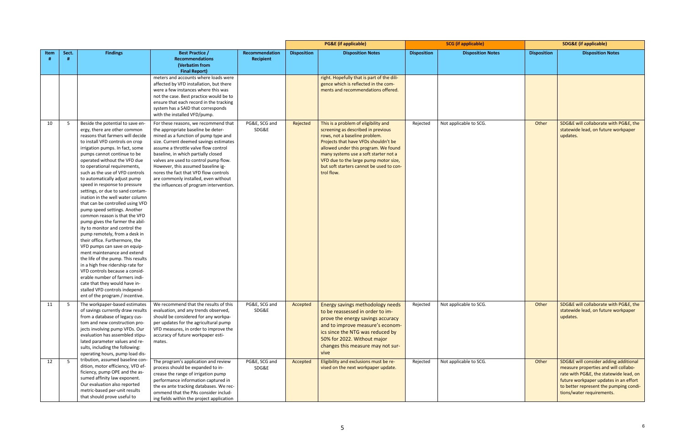|      |       |                                                                                                                                                                                                                                                                                                                                                                                                                                                                                                                                                                                                                                                                                                                                                                                                                                                                                                                                                                                                                        |                                                                                                                                                                                                                                                                                                                                                                                                                                                        |                             |                    | <b>PG&amp;E</b> (if applicable)                                                                                                                                                                                                                                                                                                         | <b>SCG</b> (if applicable) |                          | <b>SDG&amp;E</b> (if applicable) |                                                                                                                                                                                                                                         |
|------|-------|------------------------------------------------------------------------------------------------------------------------------------------------------------------------------------------------------------------------------------------------------------------------------------------------------------------------------------------------------------------------------------------------------------------------------------------------------------------------------------------------------------------------------------------------------------------------------------------------------------------------------------------------------------------------------------------------------------------------------------------------------------------------------------------------------------------------------------------------------------------------------------------------------------------------------------------------------------------------------------------------------------------------|--------------------------------------------------------------------------------------------------------------------------------------------------------------------------------------------------------------------------------------------------------------------------------------------------------------------------------------------------------------------------------------------------------------------------------------------------------|-----------------------------|--------------------|-----------------------------------------------------------------------------------------------------------------------------------------------------------------------------------------------------------------------------------------------------------------------------------------------------------------------------------------|----------------------------|--------------------------|----------------------------------|-----------------------------------------------------------------------------------------------------------------------------------------------------------------------------------------------------------------------------------------|
| Item | Sect. | <b>Findings</b>                                                                                                                                                                                                                                                                                                                                                                                                                                                                                                                                                                                                                                                                                                                                                                                                                                                                                                                                                                                                        | <b>Best Practice /</b><br><b>Recommendations</b><br>(Verbatim from<br><b>Final Report)</b>                                                                                                                                                                                                                                                                                                                                                             | Recommendation<br>Recipient | <b>Disposition</b> | <b>Disposition Notes</b>                                                                                                                                                                                                                                                                                                                | <b>Disposition</b>         | <b>Disposition Notes</b> | <b>Disposition</b>               | <b>Disposition Notes</b>                                                                                                                                                                                                                |
|      |       |                                                                                                                                                                                                                                                                                                                                                                                                                                                                                                                                                                                                                                                                                                                                                                                                                                                                                                                                                                                                                        | meters and accounts where loads were<br>affected by VFD installation, but there<br>were a few instances where this was<br>not the case. Best practice would be to<br>ensure that each record in the tracking<br>system has a SAID that corresponds<br>with the installed VFD/pump.                                                                                                                                                                     |                             |                    | right. Hopefully that is part of the dili-<br>gence which is reflected in the com-<br>ments and recommendations offered.                                                                                                                                                                                                                |                            |                          |                                  |                                                                                                                                                                                                                                         |
| 10   | - 5   | Beside the potential to save en-<br>ergy, there are other common<br>reasons that farmers will decide<br>to install VFD controls on crop<br>irrigation pumps. In fact, some<br>pumps cannot continue to be<br>operated without the VFD due<br>to operational requirements,<br>such as the use of VFD controls<br>to automatically adjust pump<br>speed in response to pressure<br>settings, or due to sand contam-<br>ination in the well water column<br>that can be controlled using VFD<br>pump speed settings. Another<br>common reason is that the VFD<br>pump gives the farmer the abil-<br>ity to monitor and control the<br>pump remotely, from a desk in<br>their office. Furthermore, the<br>VFD pumps can save on equip-<br>ment maintenance and extend<br>the life of the pump. This results<br>in a high free ridership rate for<br>VFD controls because a consid-<br>erable number of farmers indi-<br>cate that they would have in-<br>stalled VFD controls independ-<br>ent of the program / incentive. | For these reasons, we recommend that<br>the appropriate baseline be deter-<br>mined as a function of pump type and<br>size. Current deemed savings estimates<br>assume a throttle valve flow control<br>baseline, in which partially closed<br>valves are used to control pump flow.<br>However, this assumed baseline ig-<br>nores the fact that VFD flow controls<br>are commonly installed, even without<br>the influences of program intervention. | PG&E, SCG and<br>SDG&E      | Rejected           | This is a problem of eligibility and<br>screening as described in previous<br>rows, not a baseline problem.<br>Projects that have VFDs shouldn't be<br>allowed under this program. We found<br>many systems use a soft starter not a<br>VFD due to the large pump motor size,<br>but soft starters cannot be used to con-<br>trol flow. | Rejected                   | Not applicable to SCG.   | Other                            | SDG&E will collaborate with PG&E, the<br>statewide lead, on future workpaper<br>updates.                                                                                                                                                |
| 11   | 5     | The workpaper-based estimates<br>of savings currently draw results<br>from a database of legacy cus-<br>tom and new construction pro-<br>jects involving pump VFDs. Our<br>evaluation has assembled stipu-<br>lated parameter values and re-<br>sults, including the following:<br>operating hours, pump load dis-                                                                                                                                                                                                                                                                                                                                                                                                                                                                                                                                                                                                                                                                                                     | We recommend that the results of this<br>evaluation, and any trends observed,<br>should be considered for any workpa-<br>per updates for the agricultural pump<br>VFD measures, in order to improve the<br>accuracy of future workpaper esti-<br>mates.                                                                                                                                                                                                | PG&E, SCG and<br>SDG&E      | Accepted           | Energy savings methodology needs<br>to be reassessed in order to im-<br>prove the energy savings accuracy<br>and to improve measure's econom-<br>ics since the NTG was reduced by<br>50% for 2022. Without major<br>changes this measure may not sur-<br>vive                                                                           | Rejected                   | Not applicable to SCG.   | Other                            | SDG&E will collaborate with PG&E, the<br>statewide lead, on future workpaper<br>updates.                                                                                                                                                |
| 12   | 5     | tribution, assumed baseline con-<br>dition, motor efficiency, VFD ef-<br>ficiency, pump OPE and the as-<br>sumed affinity law exponent.<br>Our evaluation also reported<br>metric-based per-unit results<br>that should prove useful to                                                                                                                                                                                                                                                                                                                                                                                                                                                                                                                                                                                                                                                                                                                                                                                | The program's application and review<br>process should be expanded to in-<br>crease the range of irrigation pump<br>performance information captured in<br>the ex ante tracking databases. We rec-<br>ommend that the PAs consider includ-<br>ing fields within the project application                                                                                                                                                                | PG&E, SCG and<br>SDG&E      | Accepted           | Eligibility and exclusions must be re-<br>vised on the next workpaper update.                                                                                                                                                                                                                                                           | Rejected                   | Not applicable to SCG.   | Other                            | SDG&E will consider adding additional<br>measure properties and will collabo-<br>rate with PG&E, the statewide lead, on<br>future workpaper updates in an effort<br>to better represent the pumping condi-<br>tions/water requirements. |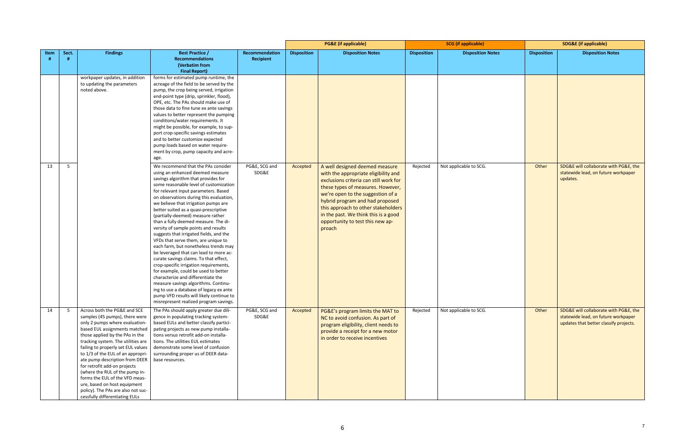|      |                |                                                                          |                                                                                     |                |                    | <b>PG&amp;E</b> (if applicable)        | <b>SCG</b> (if applicable) |                          | <b>SDG&amp;E</b> (if applicable) |                                        |
|------|----------------|--------------------------------------------------------------------------|-------------------------------------------------------------------------------------|----------------|--------------------|----------------------------------------|----------------------------|--------------------------|----------------------------------|----------------------------------------|
| Item | Sect.          | <b>Findings</b>                                                          | <b>Best Practice /</b>                                                              | Recommendation | <b>Disposition</b> | <b>Disposition Notes</b>               | <b>Disposition</b>         | <b>Disposition Notes</b> | <b>Disposition</b>               | <b>Disposition Notes</b>               |
|      |                |                                                                          | <b>Recommendations</b>                                                              | Recipient      |                    |                                        |                            |                          |                                  |                                        |
|      |                |                                                                          | (Verbatim from<br><b>Final Report)</b>                                              |                |                    |                                        |                            |                          |                                  |                                        |
|      |                | workpaper updates, in addition                                           | forms for estimated pump runtime, the                                               |                |                    |                                        |                            |                          |                                  |                                        |
|      |                | to updating the parameters                                               | acreage of the field to be served by the                                            |                |                    |                                        |                            |                          |                                  |                                        |
|      |                | noted above.                                                             | pump, the crop being served, irrigation                                             |                |                    |                                        |                            |                          |                                  |                                        |
|      |                |                                                                          | end-point type (drip, sprinkler, flood),                                            |                |                    |                                        |                            |                          |                                  |                                        |
|      |                |                                                                          | OPE, etc. The PAs should make use of                                                |                |                    |                                        |                            |                          |                                  |                                        |
|      |                |                                                                          | those data to fine tune ex ante savings                                             |                |                    |                                        |                            |                          |                                  |                                        |
|      |                |                                                                          | values to better represent the pumping                                              |                |                    |                                        |                            |                          |                                  |                                        |
|      |                |                                                                          | conditions/water requirements. It<br>might be possible, for example, to sup-        |                |                    |                                        |                            |                          |                                  |                                        |
|      |                |                                                                          | port crop-specific savings estimates                                                |                |                    |                                        |                            |                          |                                  |                                        |
|      |                |                                                                          | and to better customize expected                                                    |                |                    |                                        |                            |                          |                                  |                                        |
|      |                |                                                                          | pump loads based on water require-                                                  |                |                    |                                        |                            |                          |                                  |                                        |
|      |                |                                                                          | ment by crop, pump capacity and acre-                                               |                |                    |                                        |                            |                          |                                  |                                        |
|      |                |                                                                          | age.                                                                                |                |                    |                                        |                            |                          |                                  |                                        |
| 13   | 5 <sup>5</sup> |                                                                          | We recommend that the PAs consider                                                  | PG&E, SCG and  | Accepted           | A well designed deemed measure         | Rejected                   | Not applicable to SCG.   | Other                            | SDG&E will collaborate with PG&E, the  |
|      |                |                                                                          | using an enhanced deemed measure                                                    | SDG&E          |                    | with the appropriate eligibility and   |                            |                          |                                  | statewide lead, on future workpaper    |
|      |                |                                                                          | savings algorithm that provides for                                                 |                |                    | exclusions criteria can still work for |                            |                          |                                  | updates.                               |
|      |                |                                                                          | some reasonable level of customization<br>for relevant input parameters. Based      |                |                    | these types of measures. However,      |                            |                          |                                  |                                        |
|      |                |                                                                          | on observations during this evaluation,                                             |                |                    | we're open to the suggestion of a      |                            |                          |                                  |                                        |
|      |                |                                                                          | we believe that irrigation pumps are                                                |                |                    | hybrid program and had proposed        |                            |                          |                                  |                                        |
|      |                |                                                                          | better suited as a quasi-prescriptive                                               |                |                    | this approach to other stakeholders    |                            |                          |                                  |                                        |
|      |                |                                                                          | (partially-deemed) measure rather                                                   |                |                    | in the past. We think this is a good   |                            |                          |                                  |                                        |
|      |                |                                                                          | than a fully deemed measure. The di-                                                |                |                    | opportunity to test this new ap-       |                            |                          |                                  |                                        |
|      |                |                                                                          | versity of sample points and results                                                |                |                    | proach                                 |                            |                          |                                  |                                        |
|      |                |                                                                          | suggests that irrigated fields, and the<br>VFDs that serve them, are unique to      |                |                    |                                        |                            |                          |                                  |                                        |
|      |                |                                                                          | each farm, but nonetheless trends may                                               |                |                    |                                        |                            |                          |                                  |                                        |
|      |                |                                                                          | be leveraged that can lead to more ac-                                              |                |                    |                                        |                            |                          |                                  |                                        |
|      |                |                                                                          | curate savings claims. To that effect,                                              |                |                    |                                        |                            |                          |                                  |                                        |
|      |                |                                                                          | crop-specific irrigation requirements,                                              |                |                    |                                        |                            |                          |                                  |                                        |
|      |                |                                                                          | for example, could be used to better                                                |                |                    |                                        |                            |                          |                                  |                                        |
|      |                |                                                                          | characterize and differentiate the                                                  |                |                    |                                        |                            |                          |                                  |                                        |
|      |                |                                                                          | measure savings algorithms. Continu-                                                |                |                    |                                        |                            |                          |                                  |                                        |
|      |                |                                                                          | ing to use a database of legacy ex ante<br>pump VFD results will likely continue to |                |                    |                                        |                            |                          |                                  |                                        |
|      |                |                                                                          | misrepresent realized program savings.                                              |                |                    |                                        |                            |                          |                                  |                                        |
| 14   | - 5            | Across both the PG&E and SCE                                             | The PAs should apply greater due dili-                                              | PG&E, SCG and  | Accepted           | PG&E's program limits the MAT to       | Rejected                   | Not applicable to SCG.   | Other                            | SDG&E will collaborate with PG&E, the  |
|      |                | samples (45 pumps), there were                                           | gence in populating tracking system-                                                | SDG&E          |                    | NC to avoid confusion. As part of      |                            |                          |                                  | statewide lead, on future workpaper    |
|      |                | only 2 pumps where evaluation-                                           | based EULs and better classify partici-                                             |                |                    | program eligibility, client needs to   |                            |                          |                                  | updates that better classify projects. |
|      |                | based EUL assignments matched                                            | pating projects as new pump installa-                                               |                |                    | provide a receipt for a new motor      |                            |                          |                                  |                                        |
|      |                | those applied by the PAs in the                                          | tions versus retrofit add-on installa-                                              |                |                    | in order to receive incentives         |                            |                          |                                  |                                        |
|      |                | tracking system. The utilities are<br>failing to properly set EUL values | tions. The utilities EUL estimates<br>demonstrate some level of confusion           |                |                    |                                        |                            |                          |                                  |                                        |
|      |                | to 1/3 of the EUL of an appropri-                                        | surrounding proper us of DEER data-                                                 |                |                    |                                        |                            |                          |                                  |                                        |
|      |                | ate pump description from DEER                                           | base resources.                                                                     |                |                    |                                        |                            |                          |                                  |                                        |
|      |                | for retrofit add-on projects                                             |                                                                                     |                |                    |                                        |                            |                          |                                  |                                        |
|      |                | (where the RUL of the pump in-                                           |                                                                                     |                |                    |                                        |                            |                          |                                  |                                        |
|      |                | forms the EUL of the VFD meas-                                           |                                                                                     |                |                    |                                        |                            |                          |                                  |                                        |
|      |                | ure, based on host equipment<br>policy). The PAs are also not suc-       |                                                                                     |                |                    |                                        |                            |                          |                                  |                                        |
|      |                | cessfully differentiating EULs                                           |                                                                                     |                |                    |                                        |                            |                          |                                  |                                        |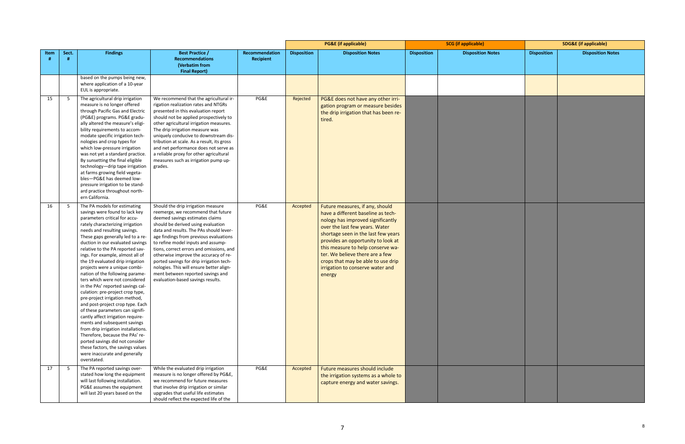|      |       |                                                                                                                                                                                                                                                                                                                                                                                                                                                                                                                                                                                                                                                                                                                                                                                                                                                                                                                          |                                                                                                                                                                                                                                                                                                                                                                                                                                                                                                                                     |                             |                    | <b>PG&amp;E</b> (if applicable)                                                                                                                                                                                                                                                                                                                                                       | <b>SCG</b> (if applicable) |                          | <b>SDG&amp;E</b> (if applicable) |                          |
|------|-------|--------------------------------------------------------------------------------------------------------------------------------------------------------------------------------------------------------------------------------------------------------------------------------------------------------------------------------------------------------------------------------------------------------------------------------------------------------------------------------------------------------------------------------------------------------------------------------------------------------------------------------------------------------------------------------------------------------------------------------------------------------------------------------------------------------------------------------------------------------------------------------------------------------------------------|-------------------------------------------------------------------------------------------------------------------------------------------------------------------------------------------------------------------------------------------------------------------------------------------------------------------------------------------------------------------------------------------------------------------------------------------------------------------------------------------------------------------------------------|-----------------------------|--------------------|---------------------------------------------------------------------------------------------------------------------------------------------------------------------------------------------------------------------------------------------------------------------------------------------------------------------------------------------------------------------------------------|----------------------------|--------------------------|----------------------------------|--------------------------|
| Item | Sect. | <b>Findings</b>                                                                                                                                                                                                                                                                                                                                                                                                                                                                                                                                                                                                                                                                                                                                                                                                                                                                                                          | <b>Best Practice /</b><br><b>Recommendations</b><br>(Verbatim from<br><b>Final Report)</b>                                                                                                                                                                                                                                                                                                                                                                                                                                          | Recommendation<br>Recipient | <b>Disposition</b> | <b>Disposition Notes</b>                                                                                                                                                                                                                                                                                                                                                              | <b>Disposition</b>         | <b>Disposition Notes</b> | <b>Disposition</b>               | <b>Disposition Notes</b> |
|      |       | based on the pumps being new,<br>where application of a 10-year<br>EUL is appropriate.                                                                                                                                                                                                                                                                                                                                                                                                                                                                                                                                                                                                                                                                                                                                                                                                                                   |                                                                                                                                                                                                                                                                                                                                                                                                                                                                                                                                     |                             |                    |                                                                                                                                                                                                                                                                                                                                                                                       |                            |                          |                                  |                          |
| 15   | - 5   | The agricultural drip irrigation<br>measure is no longer offered<br>through Pacific Gas and Electric<br>(PG&E) programs. PG&E gradu-<br>ally altered the measure's eligi-<br>bility requirements to accom-<br>modate specific irrigation tech-<br>nologies and crop types for<br>which low-pressure irrigation<br>was not yet a standard practice.<br>By sunsetting the final eligible<br>technology-drip tape irrigation<br>at farms growing field vegeta-<br>bles-PG&E has deemed low-<br>pressure irrigation to be stand-<br>ard practice throughout north-<br>ern California.                                                                                                                                                                                                                                                                                                                                        | We recommend that the agricultural ir-<br>rigation realization rates and NTGRs<br>presented in this evaluation report<br>should not be applied prospectively to<br>other agricultural irrigation measures.<br>The drip irrigation measure was<br>uniquely conducive to downstream dis-<br>tribution at scale. As a result, its gross<br>and net performance does not serve as<br>a reliable proxy for other agricultural<br>measures such as irrigation pump up-<br>grades.                                                         | PG&E                        | Rejected           | PG&E does not have any other irri-<br>gation program or measure besides<br>the drip irrigation that has been re-<br>tired.                                                                                                                                                                                                                                                            |                            |                          |                                  |                          |
| 16   | 5     | The PA models for estimating<br>savings were found to lack key<br>parameters critical for accu-<br>rately characterizing irrigation<br>needs and resulting savings.<br>These gaps generally led to a re-<br>duction in our evaluated savings<br>relative to the PA reported sav-<br>ings. For example, almost all of<br>the 19 evaluated drip irrigation<br>projects were a unique combi-<br>nation of the following parame-<br>ters which were not considered<br>in the PAs' reported savings cal-<br>culation: pre-project crop type,<br>pre-project irrigation method,<br>and post-project crop type. Each<br>of these parameters can signifi-<br>cantly affect irrigation require-<br>ments and subsequent savings<br>from drip irrigation installations.<br>Therefore, because the PAs' re-<br>ported savings did not consider<br>these factors, the savings values<br>were inaccurate and generally<br>overstated. | Should the drip irrigation measure<br>reemerge, we recommend that future<br>deemed savings estimates claims<br>should be derived using evaluation<br>data and results. The PAs should lever-<br>age findings from previous evaluations<br>to refine model inputs and assump-<br>tions, correct errors and omissions, and<br>otherwise improve the accuracy of re-<br>ported savings for drip irrigation tech-<br>nologies. This will ensure better align-<br>ment between reported savings and<br>evaluation-based savings results. | PG&E                        | Accepted           | Future measures, if any, should<br>have a different baseline as tech-<br>nology has improved significantly<br>over the last few years. Water<br>shortage seen in the last few years<br>provides an opportunity to look at<br>this measure to help conserve wa-<br>ter. We believe there are a few<br>crops that may be able to use drip<br>irrigation to conserve water and<br>energy |                            |                          |                                  |                          |
| 17   | 5     | The PA reported savings over-<br>stated how long the equipment<br>will last following installation.<br>PG&E assumes the equipment<br>will last 20 years based on the                                                                                                                                                                                                                                                                                                                                                                                                                                                                                                                                                                                                                                                                                                                                                     | While the evaluated drip irrigation<br>measure is no longer offered by PG&E,<br>we recommend for future measures<br>that involve drip irrigation or similar<br>upgrades that useful life estimates<br>should reflect the expected life of the                                                                                                                                                                                                                                                                                       | PG&E                        | Accepted           | Future measures should include<br>the irrigation systems as a whole to<br>capture energy and water savings.                                                                                                                                                                                                                                                                           |                            |                          |                                  |                          |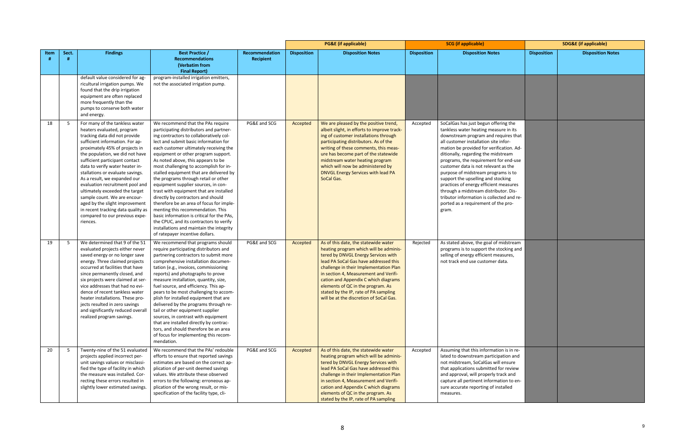|      |       |                                                                                                                                                                                                                                                                                                                                                                                                                                                                                                                                                                           |                                                                                                                                                                                                                                                                                                                                                                                                                                                                                                                                                                                                                                                                                                                                                                                                       |                                    |                    | <b>PG&amp;E</b> (if applicable)                                                                                                                                                                                                                                                                                                                                                                                    | <b>SCG</b> (if applicable) |                                                                                                                                                                                                                                                                                                                                                                                                                                                                                                                                                                                                 | <b>SDG&amp;E</b> (if applicable) |                          |
|------|-------|---------------------------------------------------------------------------------------------------------------------------------------------------------------------------------------------------------------------------------------------------------------------------------------------------------------------------------------------------------------------------------------------------------------------------------------------------------------------------------------------------------------------------------------------------------------------------|-------------------------------------------------------------------------------------------------------------------------------------------------------------------------------------------------------------------------------------------------------------------------------------------------------------------------------------------------------------------------------------------------------------------------------------------------------------------------------------------------------------------------------------------------------------------------------------------------------------------------------------------------------------------------------------------------------------------------------------------------------------------------------------------------------|------------------------------------|--------------------|--------------------------------------------------------------------------------------------------------------------------------------------------------------------------------------------------------------------------------------------------------------------------------------------------------------------------------------------------------------------------------------------------------------------|----------------------------|-------------------------------------------------------------------------------------------------------------------------------------------------------------------------------------------------------------------------------------------------------------------------------------------------------------------------------------------------------------------------------------------------------------------------------------------------------------------------------------------------------------------------------------------------------------------------------------------------|----------------------------------|--------------------------|
| Item | Sect. | <b>Findings</b>                                                                                                                                                                                                                                                                                                                                                                                                                                                                                                                                                           | <b>Best Practice /</b><br><b>Recommendations</b><br>(Verbatim from<br><b>Final Report)</b>                                                                                                                                                                                                                                                                                                                                                                                                                                                                                                                                                                                                                                                                                                            | Recommendation<br><b>Recipient</b> | <b>Disposition</b> | <b>Disposition Notes</b>                                                                                                                                                                                                                                                                                                                                                                                           | <b>Disposition</b>         | <b>Disposition Notes</b>                                                                                                                                                                                                                                                                                                                                                                                                                                                                                                                                                                        | <b>Disposition</b>               | <b>Disposition Notes</b> |
|      |       | default value considered for ag-<br>ricultural irrigation pumps. We<br>found that the drip irrigation<br>equipment are often replaced<br>more frequently than the<br>pumps to conserve both water<br>and energy.                                                                                                                                                                                                                                                                                                                                                          | program-installed irrigation emitters,<br>not the associated irrigation pump.                                                                                                                                                                                                                                                                                                                                                                                                                                                                                                                                                                                                                                                                                                                         |                                    |                    |                                                                                                                                                                                                                                                                                                                                                                                                                    |                            |                                                                                                                                                                                                                                                                                                                                                                                                                                                                                                                                                                                                 |                                  |                          |
| 18   | - 5   | For many of the tankless water<br>heaters evaluated, program<br>tracking data did not provide<br>sufficient information. For ap-<br>proximately 45% of projects in<br>the population, we did not have<br>sufficient participant contact<br>data to verify water heater in-<br>stallations or evaluate savings.<br>As a result, we expanded our<br>evaluation recruitment pool and<br>ultimately exceeded the target<br>sample count. We are encour-<br>aged by the slight improvement<br>in recent tracking data quality as<br>compared to our previous expe-<br>riences. | We recommend that the PAs require<br>participating distributors and partner-<br>ing contractors to collaboratively col-<br>lect and submit basic information for<br>each customer ultimately receiving the<br>equipment or other program support.<br>As noted above, this appears to be<br>most challenging to accomplish for in-<br>stalled equipment that are delivered by<br>the programs through retail or other<br>equipment supplier sources, in con-<br>trast with equipment that are installed<br>directly by contractors and should<br>therefore be an area of focus for imple-<br>menting this recommendation. This<br>basic information is critical for the PAs,<br>the CPUC, and its contractors to verify<br>installations and maintain the integrity<br>of ratepayer incentive dollars. | PG&E and SCG                       | Accepted           | We are pleased by the positive trend,<br>albeit slight, in efforts to improve track-<br>ing of customer installations through<br>participating distributors. As of the<br>writing of these comments, this meas-<br>ure has become part of the statewide<br>midstream water heating program<br>which will now be administered by<br>DNVGL Energy Services with lead PA<br>SoCal Gas.                                | Accepted                   | SoCalGas has just begun offering the<br>tankless water heating measure in its<br>downstream program and requires that<br>all customer installation site infor-<br>mation be provided for verification. Ad-<br>ditionally, regarding the midstream<br>programs, the requirement for end-use<br>customer data is not relevant as the<br>purpose of midstream programs is to<br>support the upselling and stocking<br>practices of energy efficient measures<br>through a midstream distributor. Dis-<br>tributor information is collected and re-<br>ported as a requirement of the pro-<br>gram. |                                  |                          |
| 19   | 5     | We determined that 9 of the 51<br>evaluated projects either never<br>saved energy or no longer save<br>energy. Three claimed projects<br>occurred at facilities that have<br>since permanently closed, and<br>six projects were claimed at ser-<br>vice addresses that had no evi-<br>dence of recent tankless water<br>heater installations. These pro-<br>jects resulted in zero savings<br>and significantly reduced overall<br>realized program savings.                                                                                                              | We recommend that programs should<br>require participating distributors and<br>partnering contractors to submit more<br>comprehensive installation documen-<br>tation (e.g., invoices, commissioning<br>reports) and photographs to prove<br>measure installation, quantity, size,<br>fuel source, and efficiency. This ap-<br>pears to be most challenging to accom-<br>plish for installed equipment that are<br>delivered by the programs through re-<br>tail or other equipment supplier<br>sources, in contrast with equipment<br>that are installed directly by contrac-<br>tors, and should therefore be an area<br>of focus for implementing this recom-<br>mendation.                                                                                                                        | PG&E and SCG                       | Accepted           | As of this date, the statewide water<br>heating program which will be adminis-<br>tered by DNVGL Energy Services with<br>lead PA SoCal Gas have addressed this<br>challenge in their Implementation Plan<br>in section 4, Measurement and Verifi-<br>cation and Appendix C which diagrams<br>elements of QC in the program. As<br>stated by the IP, rate of PA sampling<br>will be at the discretion of SoCal Gas. | Rejected                   | As stated above, the goal of midstream<br>programs is to support the stocking and<br>selling of energy efficient measures,<br>not track end use customer data.                                                                                                                                                                                                                                                                                                                                                                                                                                  |                                  |                          |
| 20   | 5     | Twenty-nine of the 51 evaluated<br>projects applied incorrect per-<br>unit savings values or misclassi-<br>fied the type of facility in which<br>the measure was installed. Cor-<br>recting these errors resulted in<br>slightly lower estimated savings.                                                                                                                                                                                                                                                                                                                 | We recommend that the PAs' redouble<br>efforts to ensure that reported savings<br>estimates are based on the correct ap-<br>plication of per-unit deemed savings<br>values. We attribute these observed<br>errors to the following: erroneous ap-<br>plication of the wrong result, or mis-<br>specification of the facility type, cli-                                                                                                                                                                                                                                                                                                                                                                                                                                                               | PG&E and SCG                       | Accepted           | As of this date, the statewide water<br>heating program which will be adminis-<br>tered by DNVGL Energy Services with<br>lead PA SoCal Gas have addressed this<br>challenge in their Implementation Plan<br>in section 4, Measurement and Verifi-<br>cation and Appendix C which diagrams<br>elements of QC in the program. As<br>stated by the IP, rate of PA sampling                                            | Accepted                   | Assuming that this information is in re-<br>lated to downstream participation and<br>not midstream, SoCalGas will ensure<br>that applications submitted for review<br>and approval, will properly track and<br>capture all pertinent information to en-<br>sure accurate reporting of installed<br>measures.                                                                                                                                                                                                                                                                                    |                                  |                          |